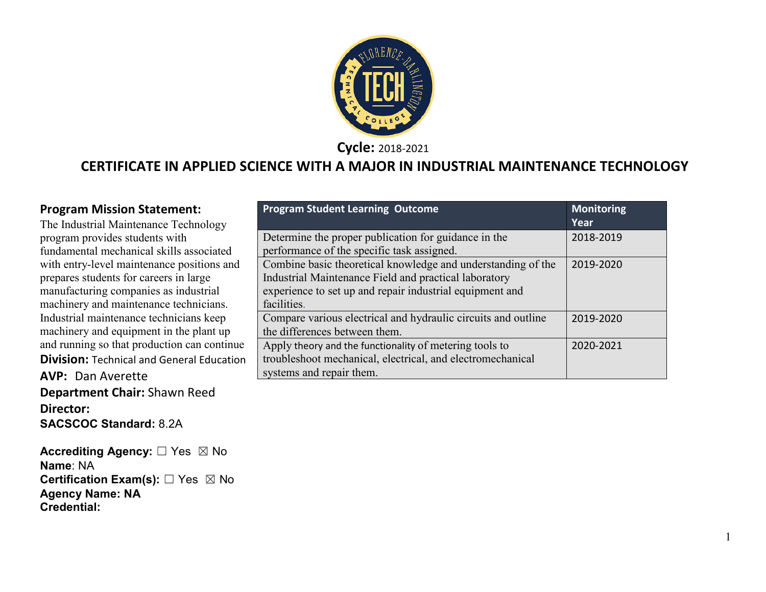

**Cycle:** 2018-2021

### **CERTIFICATE IN APPLIED SCIENCE WITH A MAJOR IN INDUSTRIAL MAINTENANCE TECHNOLOGY**

#### **Program Mission Statement:**

The Industrial Maintenance Technology program provides students with fundamental mechanical skills associated with entry-level maintenance positions and prepares students for careers in large manufacturing companies as industrial machinery and maintenance technicians. Industrial maintenance technicians keep machinery and equipment in the plant up and running so that production can continue **Division:** Technical and General Education **AVP:** Dan Averette **Department Chair:** Shawn Reed **Director: SACSCOC Standard:** 8.2A

**Accrediting Agency:** ☐ Yes ☒ No **Name**: NA **Certification Exam(s):** ☐ Yes ☒ No **Agency Name: NA Credential:**

| <b>Program Student Learning Outcome</b>                                                                                                                                                          | Monitoring<br>Year |
|--------------------------------------------------------------------------------------------------------------------------------------------------------------------------------------------------|--------------------|
| Determine the proper publication for guidance in the<br>performance of the specific task assigned.                                                                                               | 2018-2019          |
| Combine basic theoretical knowledge and understanding of the<br>Industrial Maintenance Field and practical laboratory<br>experience to set up and repair industrial equipment and<br>facilities. | 2019-2020          |
| Compare various electrical and hydraulic circuits and outline<br>the differences between them.                                                                                                   | 2019-2020          |
| Apply theory and the functionality of metering tools to<br>troubleshoot mechanical, electrical, and electromechanical<br>systems and repair them.                                                | 2020-2021          |

1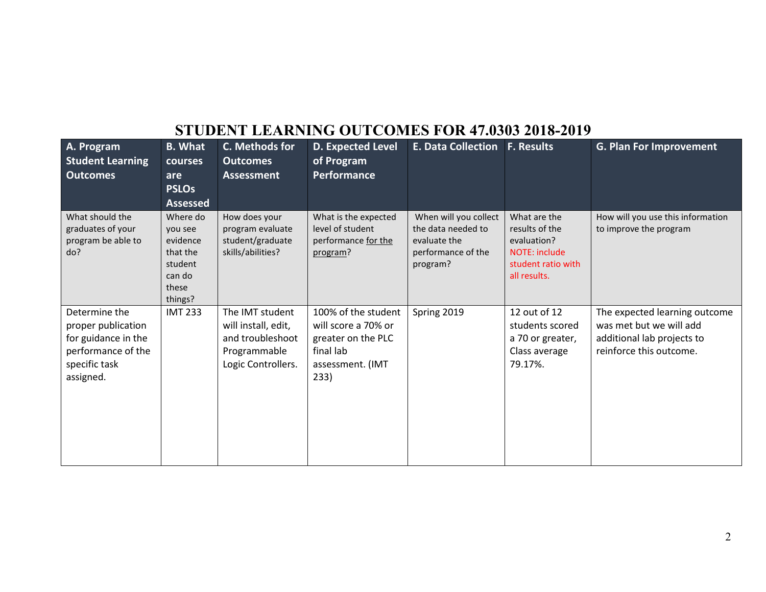## **STUDENT LEARNING OUTCOMES FOR 47.0303 2018-2019**

| A. Program<br><b>Student Learning</b>                                                                          | <b>B.</b> What<br>courses                                                            | C. Methods for<br><b>Outcomes</b>                                                                | <b>D. Expected Level</b><br>of Program                                                                    | <b>E. Data Collection</b>                                                                     | <b>F. Results</b>                                                                                           | <b>G. Plan For Improvement</b>                                                                                    |
|----------------------------------------------------------------------------------------------------------------|--------------------------------------------------------------------------------------|--------------------------------------------------------------------------------------------------|-----------------------------------------------------------------------------------------------------------|-----------------------------------------------------------------------------------------------|-------------------------------------------------------------------------------------------------------------|-------------------------------------------------------------------------------------------------------------------|
| <b>Outcomes</b>                                                                                                | are                                                                                  | <b>Assessment</b>                                                                                | <b>Performance</b>                                                                                        |                                                                                               |                                                                                                             |                                                                                                                   |
|                                                                                                                | <b>PSLOs</b><br><b>Assessed</b>                                                      |                                                                                                  |                                                                                                           |                                                                                               |                                                                                                             |                                                                                                                   |
| What should the<br>graduates of your<br>program be able to<br>do?                                              | Where do<br>you see<br>evidence<br>that the<br>student<br>can do<br>these<br>things? | How does your<br>program evaluate<br>student/graduate<br>skills/abilities?                       | What is the expected<br>level of student<br>performance for the<br>program?                               | When will you collect<br>the data needed to<br>evaluate the<br>performance of the<br>program? | What are the<br>results of the<br>evaluation?<br><b>NOTE: include</b><br>student ratio with<br>all results. | How will you use this information<br>to improve the program                                                       |
| Determine the<br>proper publication<br>for guidance in the<br>performance of the<br>specific task<br>assigned. | <b>IMT 233</b>                                                                       | The IMT student<br>will install, edit,<br>and troubleshoot<br>Programmable<br>Logic Controllers. | 100% of the student<br>will score a 70% or<br>greater on the PLC<br>final lab<br>assessment. (IMT<br>233) | Spring 2019                                                                                   | 12 out of 12<br>students scored<br>a 70 or greater,<br>Class average<br>79.17%.                             | The expected learning outcome<br>was met but we will add<br>additional lab projects to<br>reinforce this outcome. |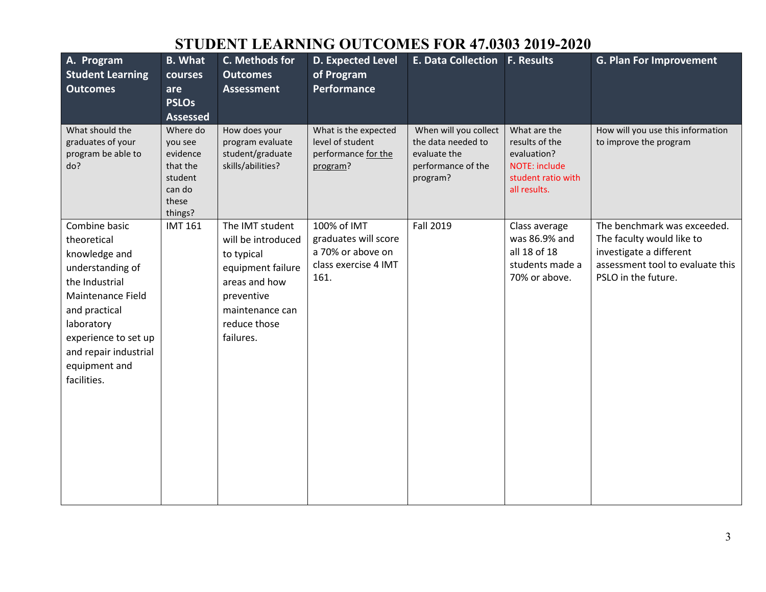# **STUDENT LEARNING OUTCOMES FOR 47.0303 2019-2020**

| A. Program<br><b>Student Learning</b><br><b>Outcomes</b>                                                                                                                                                                 | <b>B.</b> What<br>courses<br>are<br><b>PSLOs</b><br><b>Assessed</b>                  | C. Methods for<br><b>Outcomes</b><br><b>Assessment</b>                                                                                                  | <b>D. Expected Level</b><br>of Program<br><b>Performance</b>                             | <b>E. Data Collection F. Results</b>                                                          |                                                                                                             | <b>G. Plan For Improvement</b>                                                                                                                 |
|--------------------------------------------------------------------------------------------------------------------------------------------------------------------------------------------------------------------------|--------------------------------------------------------------------------------------|---------------------------------------------------------------------------------------------------------------------------------------------------------|------------------------------------------------------------------------------------------|-----------------------------------------------------------------------------------------------|-------------------------------------------------------------------------------------------------------------|------------------------------------------------------------------------------------------------------------------------------------------------|
| What should the<br>graduates of your<br>program be able to<br>do?                                                                                                                                                        | Where do<br>you see<br>evidence<br>that the<br>student<br>can do<br>these<br>things? | How does your<br>program evaluate<br>student/graduate<br>skills/abilities?                                                                              | What is the expected<br>level of student<br>performance for the<br>program?              | When will you collect<br>the data needed to<br>evaluate the<br>performance of the<br>program? | What are the<br>results of the<br>evaluation?<br><b>NOTE: include</b><br>student ratio with<br>all results. | How will you use this information<br>to improve the program                                                                                    |
| Combine basic<br>theoretical<br>knowledge and<br>understanding of<br>the Industrial<br>Maintenance Field<br>and practical<br>laboratory<br>experience to set up<br>and repair industrial<br>equipment and<br>facilities. | <b>IMT 161</b>                                                                       | The IMT student<br>will be introduced<br>to typical<br>equipment failure<br>areas and how<br>preventive<br>maintenance can<br>reduce those<br>failures. | 100% of IMT<br>graduates will score<br>a 70% or above on<br>class exercise 4 IMT<br>161. | Fall 2019                                                                                     | Class average<br>was 86.9% and<br>all 18 of 18<br>students made a<br>70% or above.                          | The benchmark was exceeded.<br>The faculty would like to<br>investigate a different<br>assessment tool to evaluate this<br>PSLO in the future. |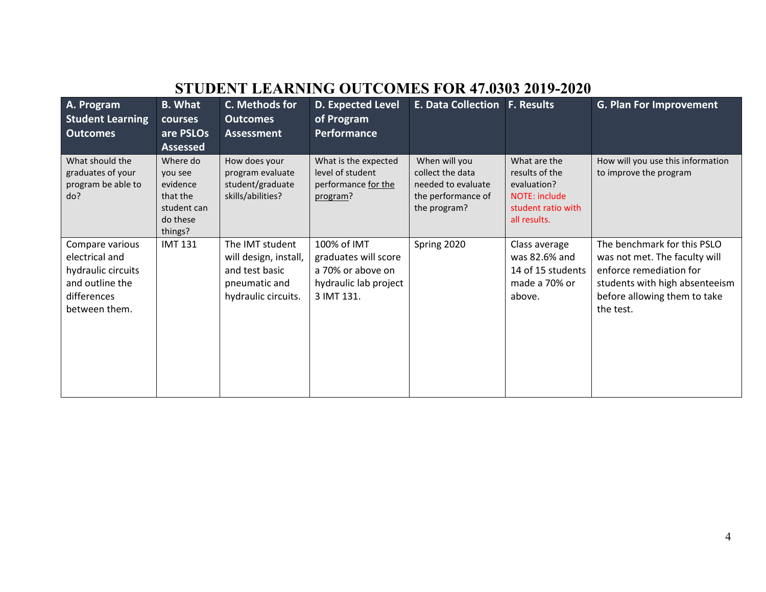| STUDENT LEARNING OUTCOMES FOR 47.0303 2019-2020                                                            |                                                                                   |                                                                                                    |                                                                                                 |                                                                                               |                                                                                                      |                                                                                                                                                                        |
|------------------------------------------------------------------------------------------------------------|-----------------------------------------------------------------------------------|----------------------------------------------------------------------------------------------------|-------------------------------------------------------------------------------------------------|-----------------------------------------------------------------------------------------------|------------------------------------------------------------------------------------------------------|------------------------------------------------------------------------------------------------------------------------------------------------------------------------|
| A. Program<br><b>Student Learning</b><br><b>Outcomes</b>                                                   | <b>B.</b> What<br>courses<br>are PSLOs<br><b>Assessed</b>                         | C. Methods for<br><b>Outcomes</b><br><b>Assessment</b>                                             | D. Expected Level<br>of Program<br>Performance                                                  | E. Data Collection F. Results                                                                 |                                                                                                      | <b>G. Plan For Improvement</b>                                                                                                                                         |
| What should the<br>graduates of your<br>program be able to<br>do?                                          | Where do<br>you see<br>evidence<br>that the<br>student can<br>do these<br>things? | How does your<br>program evaluate<br>student/graduate<br>skills/abilities?                         | What is the expected<br>level of student<br>performance for the<br>program?                     | When will you<br>collect the data<br>needed to evaluate<br>the performance of<br>the program? | What are the<br>results of the<br>evaluation?<br>NOTE: include<br>student ratio with<br>all results. | How will you use this information<br>to improve the program                                                                                                            |
| Compare various<br>electrical and<br>hydraulic circuits<br>and outline the<br>differences<br>between them. | <b>IMT 131</b>                                                                    | The IMT student<br>will design, install,<br>and test basic<br>pneumatic and<br>hydraulic circuits. | 100% of IMT<br>graduates will score<br>a 70% or above on<br>hydraulic lab project<br>3 IMT 131. | Spring 2020                                                                                   | Class average<br>was 82.6% and<br>14 of 15 students<br>made a 70% or<br>above.                       | The benchmark for this PSLO<br>was not met. The faculty will<br>enforce remediation for<br>students with high absenteeism<br>before allowing them to take<br>the test. |

## **STUDENT LEARNING OUTCOMES FOR 47.0303 2019-2020**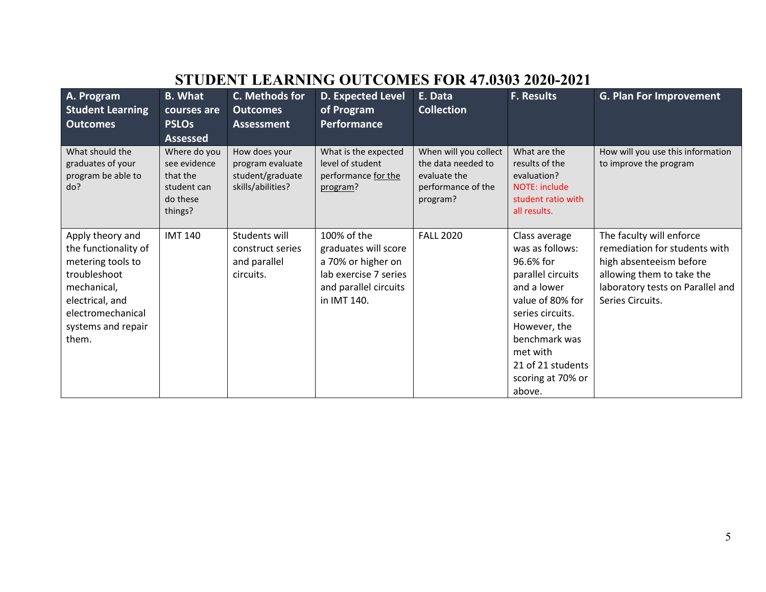# **STUDENT LEARNING OUTCOMES FOR 47.0303 2020-2021**

| A. Program<br><b>Student Learning</b><br><b>Outcomes</b>                                                                                                            | <b>B.</b> What<br>courses are<br><b>PSLOs</b><br><b>Assessed</b>               | C. Methods for<br><b>Outcomes</b><br><b>Assessment</b>                     | <b>D. Expected Level</b><br>of Program<br><b>Performance</b>                                                               | E. Data<br><b>Collection</b>                                                                  | <b>F. Results</b>                                                                                                                                                                                                          | <b>G. Plan For Improvement</b>                                                                                                                                            |
|---------------------------------------------------------------------------------------------------------------------------------------------------------------------|--------------------------------------------------------------------------------|----------------------------------------------------------------------------|----------------------------------------------------------------------------------------------------------------------------|-----------------------------------------------------------------------------------------------|----------------------------------------------------------------------------------------------------------------------------------------------------------------------------------------------------------------------------|---------------------------------------------------------------------------------------------------------------------------------------------------------------------------|
| What should the<br>graduates of your<br>program be able to<br>do?                                                                                                   | Where do you<br>see evidence<br>that the<br>student can<br>do these<br>things? | How does your<br>program evaluate<br>student/graduate<br>skills/abilities? | What is the expected<br>level of student<br>performance for the<br>program?                                                | When will you collect<br>the data needed to<br>evaluate the<br>performance of the<br>program? | What are the<br>results of the<br>evaluation?<br><b>NOTE: include</b><br>student ratio with<br>all results.                                                                                                                | How will you use this information<br>to improve the program                                                                                                               |
| Apply theory and<br>the functionality of<br>metering tools to<br>troubleshoot<br>mechanical,<br>electrical, and<br>electromechanical<br>systems and repair<br>them. | <b>IMT 140</b>                                                                 | Students will<br>construct series<br>and parallel<br>circuits.             | 100% of the<br>graduates will score<br>a 70% or higher on<br>lab exercise 7 series<br>and parallel circuits<br>in IMT 140. | <b>FALL 2020</b>                                                                              | Class average<br>was as follows:<br>96.6% for<br>parallel circuits<br>and a lower<br>value of 80% for<br>series circuits.<br>However, the<br>benchmark was<br>met with<br>21 of 21 students<br>scoring at 70% or<br>above. | The faculty will enforce<br>remediation for students with<br>high absenteeism before<br>allowing them to take the<br>laboratory tests on Parallel and<br>Series Circuits. |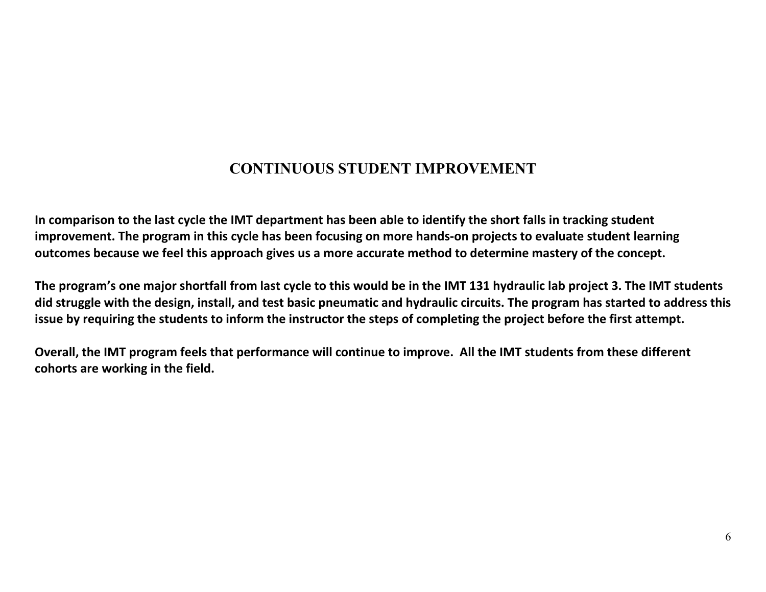## **CONTINUOUS STUDENT IMPROVEMENT**

**In comparison to the last cycle the IMT department has been able to identify the short falls in tracking student improvement. The program in this cycle has been focusing on more hands-on projects to evaluate student learning outcomes because we feel this approach gives us a more accurate method to determine mastery of the concept.** 

**The program's one major shortfall from last cycle to this would be in the IMT 131 hydraulic lab project 3. The IMT students did struggle with the design, install, and test basic pneumatic and hydraulic circuits. The program has started to address this issue by requiring the students to inform the instructor the steps of completing the project before the first attempt.**

**Overall, the IMT program feels that performance will continue to improve. All the IMT students from these different cohorts are working in the field.**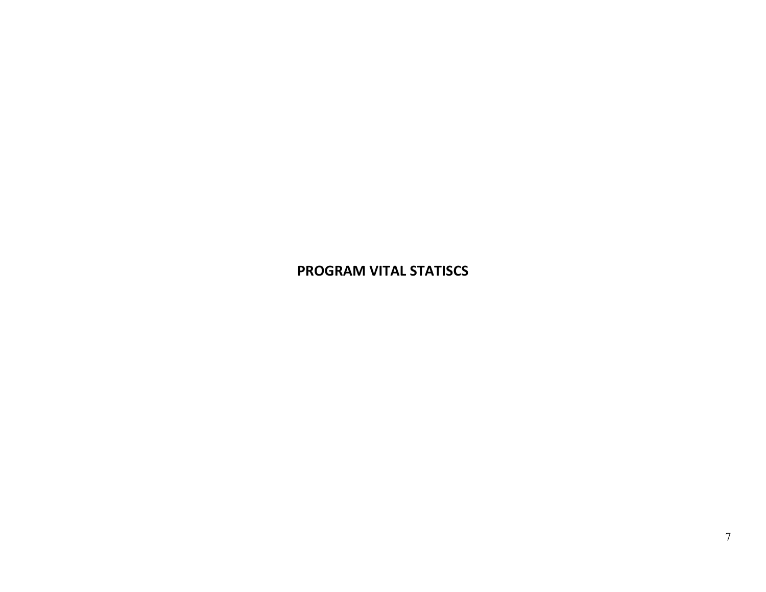#### **PROGRAM VITAL STATISCS**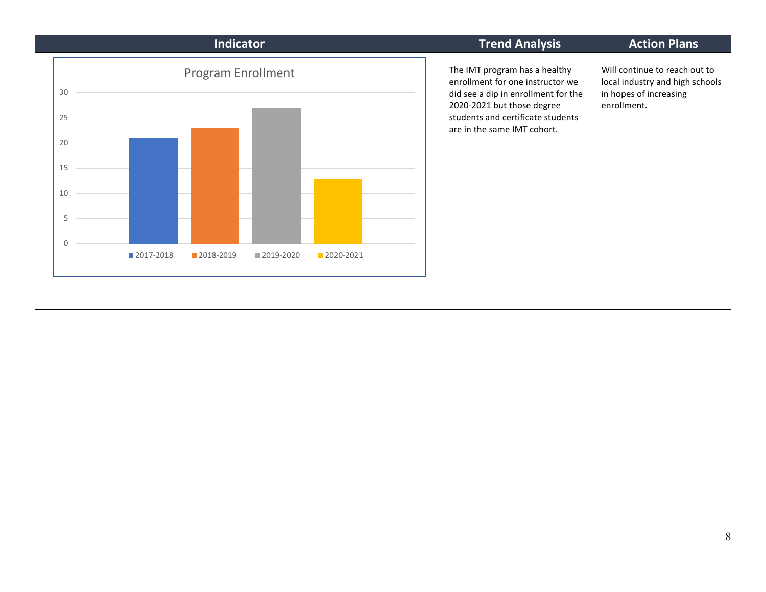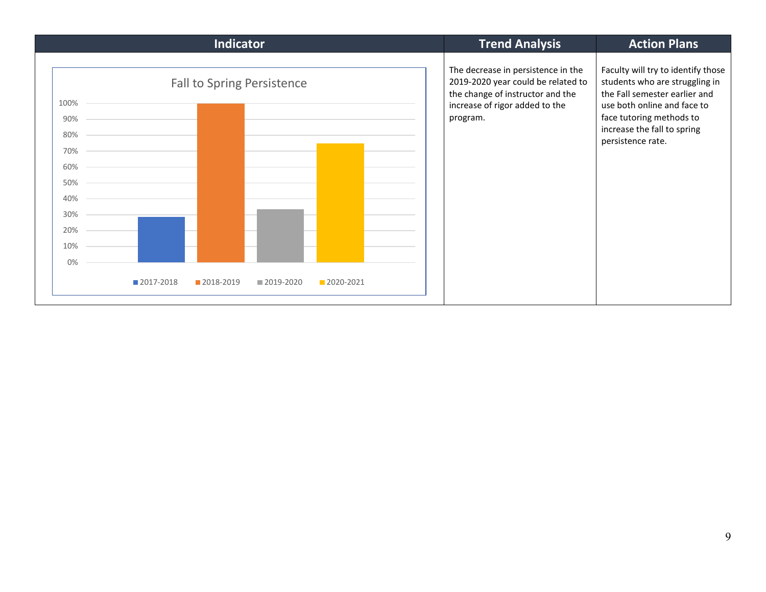| <b>Indicator</b>                                                                                  | <b>Trend Analysis</b>                                                                                                                                      | <b>Action Plans</b>                                                                                                                                                                                                  |
|---------------------------------------------------------------------------------------------------|------------------------------------------------------------------------------------------------------------------------------------------------------------|----------------------------------------------------------------------------------------------------------------------------------------------------------------------------------------------------------------------|
| <b>Fall to Spring Persistence</b><br>100%<br>90%<br>80%<br>70%<br>60%<br>50%<br>40%<br>30%<br>20% | The decrease in persistence in the<br>2019-2020 year could be related to<br>the change of instructor and the<br>increase of rigor added to the<br>program. | Faculty will try to identify those<br>students who are struggling in<br>the Fall semester earlier and<br>use both online and face to<br>face tutoring methods to<br>increase the fall to spring<br>persistence rate. |
| 10%<br>0%                                                                                         |                                                                                                                                                            |                                                                                                                                                                                                                      |
| 2017-2018<br>2018-2019<br>2019-2020<br>2020-2021                                                  |                                                                                                                                                            |                                                                                                                                                                                                                      |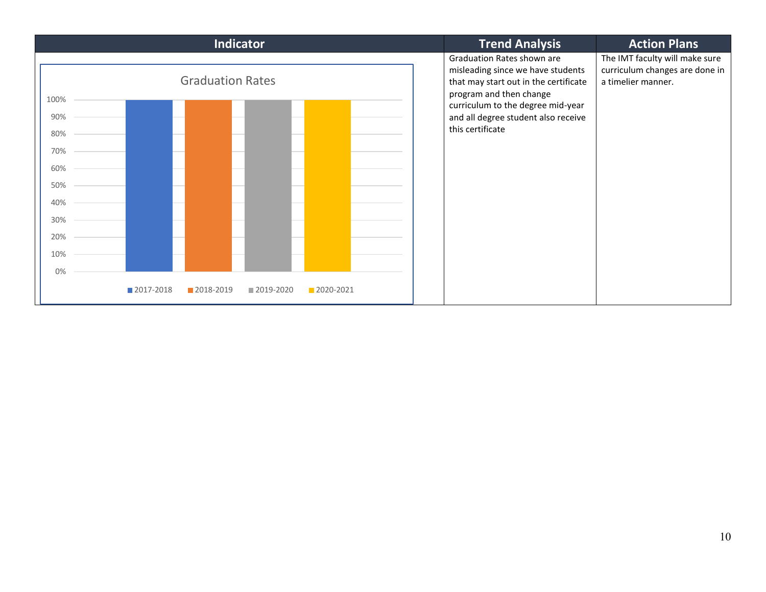| Indicator                                                                        | <b>Trend Analysis</b>                                                                                                                                                                                                               | <b>Action Plans</b>                                                                    |
|----------------------------------------------------------------------------------|-------------------------------------------------------------------------------------------------------------------------------------------------------------------------------------------------------------------------------------|----------------------------------------------------------------------------------------|
| <b>Graduation Rates</b><br>100%<br>90%<br>80%<br>70%<br>60%<br>50%<br>40%<br>30% | Graduation Rates shown are<br>misleading since we have students<br>that may start out in the certificate<br>program and then change<br>curriculum to the degree mid-year<br>and all degree student also receive<br>this certificate | The IMT faculty will make sure<br>curriculum changes are done in<br>a timelier manner. |
| 20%<br>10%<br>0%                                                                 |                                                                                                                                                                                                                                     |                                                                                        |
| ■ 2017-2018<br>2018-2019<br>■ 2019-2020<br>2020-2021                             |                                                                                                                                                                                                                                     |                                                                                        |